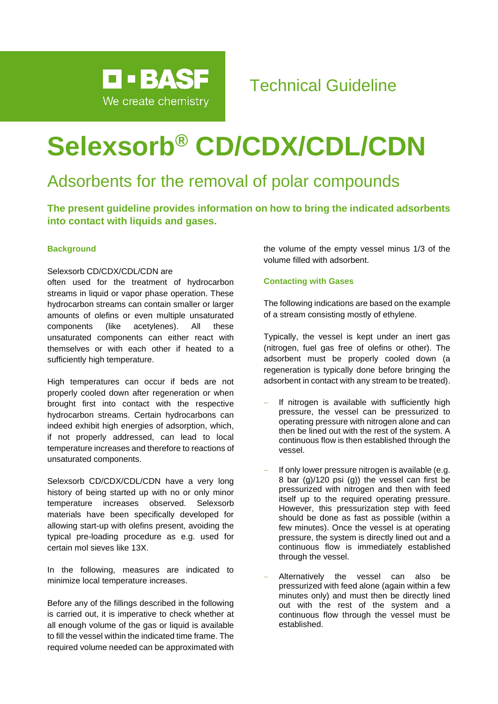

# **Selexsorb® CD/CDX/CDL/CDN**

### Adsorbents for the removal of polar compounds

**The present guideline provides information on how to bring the indicated adsorbents into contact with liquids and gases.**

#### **Background**

#### Selexsorb CD/CDX/CDL/CDN are

often used for the treatment of hydrocarbon streams in liquid or vapor phase operation. These hydrocarbon streams can contain smaller or larger amounts of olefins or even multiple unsaturated components (like acetylenes). All these unsaturated components can either react with themselves or with each other if heated to a sufficiently high temperature.

High temperatures can occur if beds are not properly cooled down after regeneration or when brought first into contact with the respective hydrocarbon streams. Certain hydrocarbons can indeed exhibit high energies of adsorption, which, if not properly addressed, can lead to local temperature increases and therefore to reactions of unsaturated components.

Selexsorb CD/CDX/CDL/CDN have a very long history of being started up with no or only minor temperature increases observed. Selexsorb materials have been specifically developed for allowing start-up with olefins present, avoiding the typical pre-loading procedure as e.g. used for certain mol sieves like 13X.

In the following, measures are indicated to minimize local temperature increases.

Before any of the fillings described in the following is carried out, it is imperative to check whether at all enough volume of the gas or liquid is available to fill the vessel within the indicated time frame. The required volume needed can be approximated with

the volume of the empty vessel minus 1/3 of the volume filled with adsorbent.

#### **Contacting with Gases**

The following indications are based on the example of a stream consisting mostly of ethylene.

Typically, the vessel is kept under an inert gas (nitrogen, fuel gas free of olefins or other). The adsorbent must be properly cooled down (a regeneration is typically done before bringing the adsorbent in contact with any stream to be treated).

- If nitrogen is available with sufficiently high pressure, the vessel can be pressurized to operating pressure with nitrogen alone and can then be lined out with the rest of the system. A continuous flow is then established through the vessel.
- If only lower pressure nitrogen is available (e.g. 8 bar (g)/120 psi (g)) the vessel can first be pressurized with nitrogen and then with feed itself up to the required operating pressure. However, this pressurization step with feed should be done as fast as possible (within a few minutes). Once the vessel is at operating pressure, the system is directly lined out and a continuous flow is immediately established through the vessel.
- Alternatively the vessel can also be pressurized with feed alone (again within a few minutes only) and must then be directly lined out with the rest of the system and a continuous flow through the vessel must be established.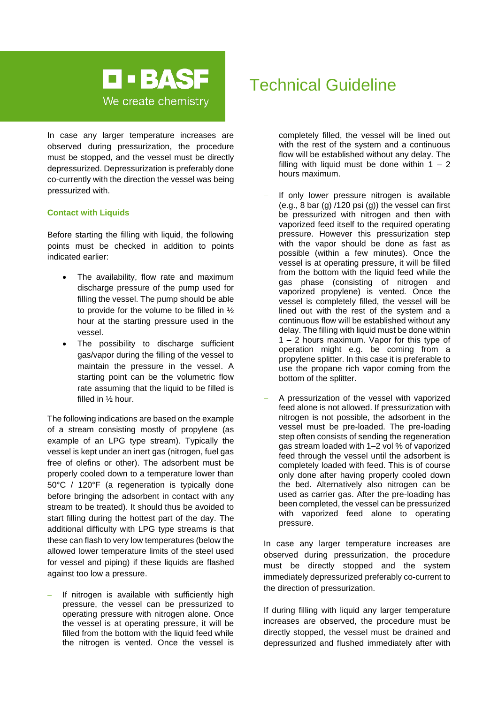

In case any larger temperature increases are observed during pressurization, the procedure must be stopped, and the vessel must be directly depressurized. Depressurization is preferably done co-currently with the direction the vessel was being pressurized with.

#### **Contact with Liquids**

Before starting the filling with liquid, the following points must be checked in addition to points indicated earlier:

- The availability, flow rate and maximum discharge pressure of the pump used for filling the vessel. The pump should be able to provide for the volume to be filled in ½ hour at the starting pressure used in the vessel.
- The possibility to discharge sufficient gas/vapor during the filling of the vessel to maintain the pressure in the vessel. A starting point can be the volumetric flow rate assuming that the liquid to be filled is filled in ½ hour.

The following indications are based on the example of a stream consisting mostly of propylene (as example of an LPG type stream). Typically the vessel is kept under an inert gas (nitrogen, fuel gas free of olefins or other). The adsorbent must be properly cooled down to a temperature lower than 50°C / 120°F (a regeneration is typically done before bringing the adsorbent in contact with any stream to be treated). It should thus be avoided to start filling during the hottest part of the day. The additional difficulty with LPG type streams is that these can flash to very low temperatures (below the allowed lower temperature limits of the steel used for vessel and piping) if these liquids are flashed against too low a pressure.

If nitrogen is available with sufficiently high pressure, the vessel can be pressurized to operating pressure with nitrogen alone. Once the vessel is at operating pressure, it will be filled from the bottom with the liquid feed while the nitrogen is vented. Once the vessel is

### Technical Guideline

completely filled, the vessel will be lined out with the rest of the system and a continuous flow will be established without any delay. The filling with liquid must be done within  $1 - 2$ hours maximum.

- If only lower pressure nitrogen is available (e.g.,  $8$  bar (g)  $/120$  psi (g)) the vessel can first be pressurized with nitrogen and then with vaporized feed itself to the required operating pressure. However this pressurization step with the vapor should be done as fast as possible (within a few minutes). Once the vessel is at operating pressure, it will be filled from the bottom with the liquid feed while the gas phase (consisting of nitrogen and vaporized propylene) is vented. Once the vessel is completely filled, the vessel will be lined out with the rest of the system and a continuous flow will be established without any delay. The filling with liquid must be done within 1 – 2 hours maximum. Vapor for this type of operation might e.g. be coming from a propylene splitter. In this case it is preferable to use the propane rich vapor coming from the bottom of the splitter.
- − A pressurization of the vessel with vaporized feed alone is not allowed. If pressurization with nitrogen is not possible, the adsorbent in the vessel must be pre-loaded. The pre-loading step often consists of sending the regeneration gas stream loaded with 1–2 vol % of vaporized feed through the vessel until the adsorbent is completely loaded with feed. This is of course only done after having properly cooled down the bed. Alternatively also nitrogen can be used as carrier gas. After the pre-loading has been completed, the vessel can be pressurized with vaporized feed alone to operating pressure.

In case any larger temperature increases are observed during pressurization, the procedure must be directly stopped and the system immediately depressurized preferably co-current to the direction of pressurization.

If during filling with liquid any larger temperature increases are observed, the procedure must be directly stopped, the vessel must be drained and depressurized and flushed immediately after with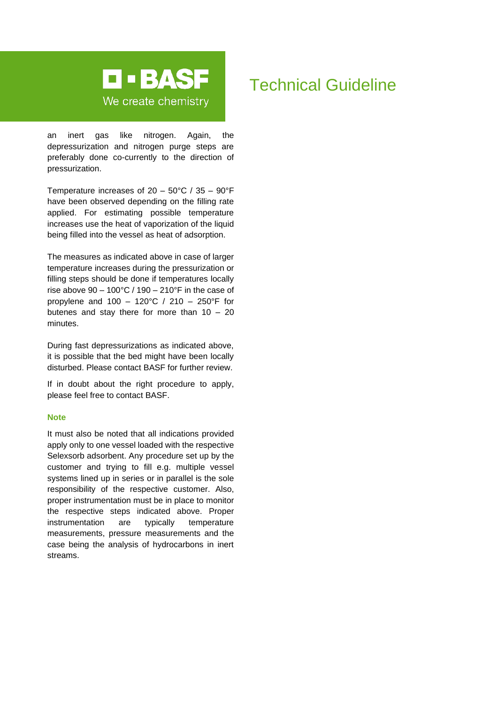

#### an inert gas like nitrogen. Again, the depressurization and nitrogen purge steps are preferably done co-currently to the direction of pressurization.

Temperature increases of 20 – 50°C / 35 – 90°F have been observed depending on the filling rate applied. For estimating possible temperature increases use the heat of vaporization of the liquid being filled into the vessel as heat of adsorption.

The measures as indicated above in case of larger temperature increases during the pressurization or filling steps should be done if temperatures locally rise above  $90 - 100^{\circ}$ C / 190 – 210°F in the case of propylene and 100 – 120°C / 210 – 250°F for butenes and stay there for more than  $10 - 20$ minutes.

During fast depressurizations as indicated above, it is possible that the bed might have been locally disturbed. Please contact BASF for further review.

If in doubt about the right procedure to apply, please feel free to contact BASF.

#### **Note**

It must also be noted that all indications provided apply only to one vessel loaded with the respective Selexsorb adsorbent. Any procedure set up by the customer and trying to fill e.g. multiple vessel systems lined up in series or in parallel is the sole responsibility of the respective customer. Also, proper instrumentation must be in place to monitor the respective steps indicated above. Proper instrumentation are typically temperature measurements, pressure measurements and the case being the analysis of hydrocarbons in inert streams.

## Technical Guideline